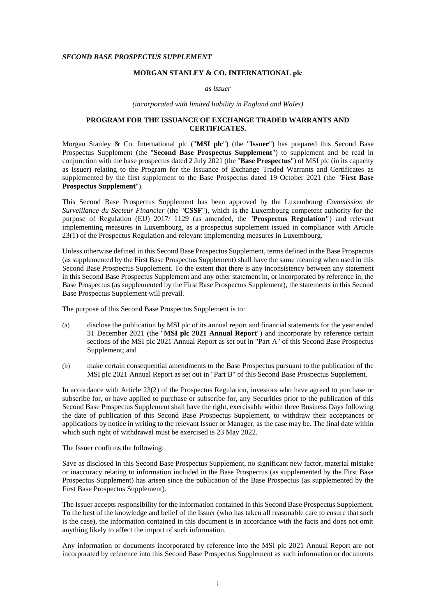#### *SECOND BASE PROSPECTUS SUPPLEMENT*

### **MORGAN STANLEY & CO. INTERNATIONAL plc**

#### *as issuer*

*(incorporated with limited liability in England and Wales)*

# **PROGRAM FOR THE ISSUANCE OF EXCHANGE TRADED WARRANTS AND CERTIFICATES.**

Morgan Stanley & Co. International plc ("**MSI plc**") (the "**Issuer**") has prepared this Second Base Prospectus Supplement (the "**Second Base Prospectus Supplement**") to supplement and be read in conjunction with the base prospectus dated 2 July 2021 (the "**Base Prospectus**") of MSI plc (in its capacity as Issuer) relating to the Program for the Issuance of Exchange Traded Warrants and Certificates as supplemented by the first supplement to the Base Prospectus dated 19 October 2021 (the "**First Base Prospectus Supplement**").

This Second Base Prospectus Supplement has been approved by the Luxembourg *Commission de Surveillance du Secteur Financier* (the "**CSSF**"), which is the Luxembourg competent authority for the purpose of Regulation (EU) 2017/ 1129 (as amended, the "**Prospectus Regulation"**) and relevant implementing measures in Luxembourg, as a prospectus supplement issued in compliance with Article 23(1) of the Prospectus Regulation and relevant implementing measures in Luxembourg.

Unless otherwise defined in this Second Base Prospectus Supplement, terms defined in the Base Prospectus (as supplemented by the First Base Prospectus Supplement) shall have the same meaning when used in this Second Base Prospectus Supplement. To the extent that there is any inconsistency between any statement in this Second Base Prospectus Supplement and any other statement in, or incorporated by reference in, the Base Prospectus (as supplemented by the First Base Prospectus Supplement), the statements in this Second Base Prospectus Supplement will prevail.

The purpose of this Second Base Prospectus Supplement is to:

- (a) disclose the publication by MSI plc of its annual report and financial statements for the year ended 31 December 2021 (the "**MSI plc 2021 Annual Report**") and incorporate by reference certain sections of the MSI plc 2021 Annual Report as set out in "Part A" of this Second Base Prospectus Supplement; and
- (b) make certain consequential amendments to the Base Prospectus pursuant to the publication of the MSI plc 2021 Annual Report as set out in "Part B" of this Second Base Prospectus Supplement.

In accordance with Article 23(2) of the Prospectus Regulation, investors who have agreed to purchase or subscribe for, or have applied to purchase or subscribe for, any Securities prior to the publication of this Second Base Prospectus Supplement shall have the right, exercisable within three Business Days following the date of publication of this Second Base Prospectus Supplement, to withdraw their acceptances or applications by notice in writing to the relevant Issuer or Manager, as the case may be. The final date within which such right of withdrawal must be exercised is 23 May 2022.

The Issuer confirms the following:

Save as disclosed in this Second Base Prospectus Supplement, no significant new factor, material mistake or inaccuracy relating to information included in the Base Prospectus (as supplemented by the First Base Prospectus Supplement) has arisen since the publication of the Base Prospectus (as supplemented by the First Base Prospectus Supplement).

The Issuer accepts responsibility for the information contained in this Second Base Prospectus Supplement. To the best of the knowledge and belief of the Issuer (who has taken all reasonable care to ensure that such is the case), the information contained in this document is in accordance with the facts and does not omit anything likely to affect the import of such information.

Any information or documents incorporated by reference into the MSI plc 2021 Annual Report are not incorporated by reference into this Second Base Prospectus Supplement as such information or documents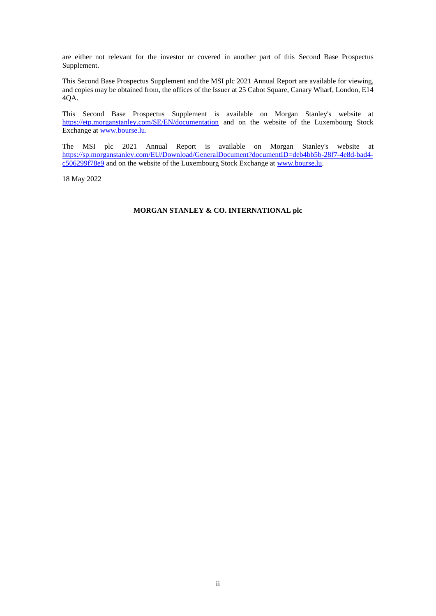are either not relevant for the investor or covered in another part of this Second Base Prospectus Supplement.

This Second Base Prospectus Supplement and the MSI plc 2021 Annual Report are available for viewing, and copies may be obtained from, the offices of the Issuer at 25 Cabot Square, Canary Wharf, London, E14 4QA.

This Second Base Prospectus Supplement is available on Morgan Stanley's website at <https://etp.morganstanley.com/SE/EN/documentation> and on the website of the Luxembourg Stock Exchange a[t www.bourse.lu.](http://www.bourse.lu/)

The MSI plc 2021 Annual Report is available on Morgan Stanley's website at [https://sp.morganstanley.com/EU/Download/GeneralDocument?documentID=deb4bb5b-28f7-4e8d-bad4](https://sp.morganstanley.com/EU/Download/GeneralDocument?documentID=deb4bb5b-28f7-4e8d-bad4-c506299f78e9) [c506299f78e9](https://sp.morganstanley.com/EU/Download/GeneralDocument?documentID=deb4bb5b-28f7-4e8d-bad4-c506299f78e9) and on the website of the Luxembourg Stock Exchange at [www.bourse.lu.](http://www.bourse.lu/)

18 May 2022

# **MORGAN STANLEY & CO. INTERNATIONAL plc**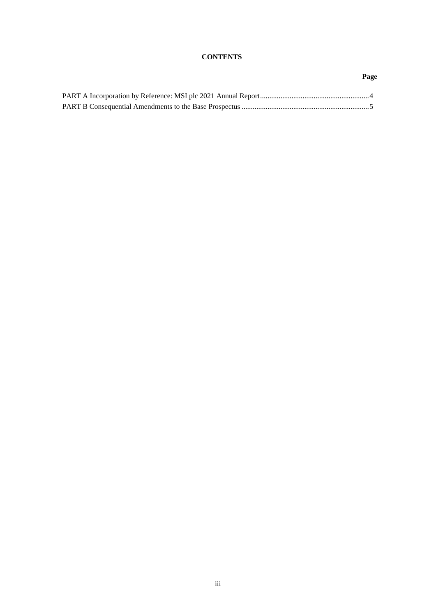# **CONTENTS**

# **Page**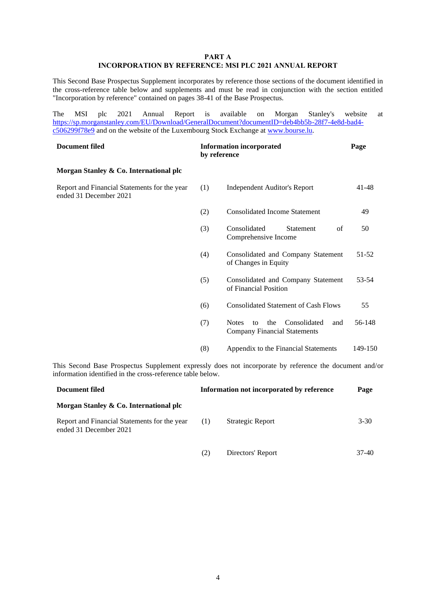### **PART A INCORPORATION BY REFERENCE: MSI PLC 2021 ANNUAL REPORT**

This Second Base Prospectus Supplement incorporates by reference those sections of the document identified in the cross-reference table below and supplements and must be read in conjunction with the section entitled "Incorporation by reference" contained on pages 38-41 of the Base Prospectus.

The MSI plc 2021 Annual Report is available on Morgan Stanley's website at [https://sp.morganstanley.com/EU/Download/GeneralDocument?documentID=deb4bb5b-28f7-4e8d-bad4](https://sp.morganstanley.com/EU/Download/GeneralDocument?documentID=deb4bb5b-28f7-4e8d-bad4-c506299f78e9) [c506299f78e9](https://sp.morganstanley.com/EU/Download/GeneralDocument?documentID=deb4bb5b-28f7-4e8d-bad4-c506299f78e9) and on the website of the Luxembourg Stock Exchange at [www.bourse.lu.](http://www.bourse.lu/)

| <b>Document filed</b>                                                  | <b>Information incorporated</b><br>by reference |                                                                                                   | Page    |  |  |  |
|------------------------------------------------------------------------|-------------------------------------------------|---------------------------------------------------------------------------------------------------|---------|--|--|--|
| Morgan Stanley & Co. International plc                                 |                                                 |                                                                                                   |         |  |  |  |
| Report and Financial Statements for the year<br>ended 31 December 2021 | (1)                                             | <b>Independent Auditor's Report</b>                                                               | 41-48   |  |  |  |
|                                                                        | (2)                                             | <b>Consolidated Income Statement</b>                                                              | 49      |  |  |  |
|                                                                        | (3)                                             | Consolidated<br><b>Statement</b><br>of<br>Comprehensive Income                                    | 50      |  |  |  |
|                                                                        | (4)                                             | Consolidated and Company Statement<br>of Changes in Equity                                        | 51-52   |  |  |  |
|                                                                        | (5)                                             | Consolidated and Company Statement<br>of Financial Position                                       | 53-54   |  |  |  |
|                                                                        | (6)                                             | <b>Consolidated Statement of Cash Flows</b>                                                       | 55      |  |  |  |
|                                                                        | (7)                                             | Consolidated<br><b>Notes</b><br>the<br>and<br>$\mathsf{f}$<br><b>Company Financial Statements</b> | 56-148  |  |  |  |
|                                                                        | (8)                                             | Appendix to the Financial Statements                                                              | 149-150 |  |  |  |
|                                                                        |                                                 |                                                                                                   |         |  |  |  |

This Second Base Prospectus Supplement expressly does not incorporate by reference the document and/or information identified in the cross-reference table below.

| Document filed                                                         | Information not incorporated by reference |                   | Page     |  |
|------------------------------------------------------------------------|-------------------------------------------|-------------------|----------|--|
| Morgan Stanley & Co. International plc                                 |                                           |                   |          |  |
| Report and Financial Statements for the year<br>ended 31 December 2021 | (1)                                       | Strategic Report  | $3 - 30$ |  |
|                                                                        | 21                                        | Directors' Report | 37-40    |  |